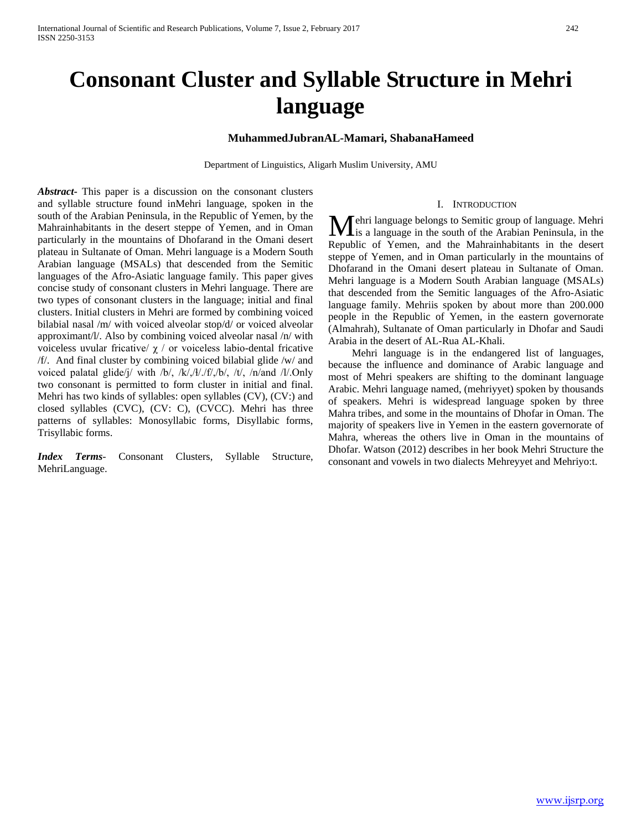# **Consonant Cluster and Syllable Structure in Mehri language**

## **MuhammedJubranAL-Mamari, ShabanaHameed**

Department of Linguistics, Aligarh Muslim University, AMU

*Abstract***-** This paper is a discussion on the consonant clusters and syllable structure found inMehri language, spoken in the south of the Arabian Peninsula, in the Republic of Yemen, by the Mahrainhabitants in the desert steppe of Yemen, and in Oman particularly in the mountains of Dhofarand in the Omani desert plateau in Sultanate of Oman. Mehri language is a Modern South Arabian language (MSALs) that descended from the Semitic languages of the Afro-Asiatic language family. This paper gives concise study of consonant clusters in Mehri language. There are two types of consonant clusters in the language; initial and final clusters. Initial clusters in Mehri are formed by combining voiced bilabial nasal /m/ with voiced alveolar stop/d/ or voiced alveolar approximant/l/. Also by combining voiced alveolar nasal /n/ with voiceless uvular fricative/  $\chi$  / or voiceless labio-dental fricative /f/. And final cluster by combining voiced bilabial glide /w/ and voiced palatal glide/j/ with /b/, /k/,/ɬ/./f/,/b/, /t/, /n/and /l/.Only two consonant is permitted to form cluster in initial and final. Mehri has two kinds of syllables: open syllables (CV), (CV:) and closed syllables (CVC), (CV: C), (CVCC). Mehri has three patterns of syllables: Monosyllabic forms, Disyllabic forms, Trisyllabic forms.

*Index Terms*- Consonant Clusters, Syllable Structure, MehriLanguage.

#### I. INTRODUCTION

ehri language belongs to Semitic group of language. Mehri **M**ehri language belongs to Semitic group of language. Mehri<br>
Is a language in the south of the Arabian Peninsula, in the Republic of Yemen, and the Mahrainhabitants in the desert steppe of Yemen, and in Oman particularly in the mountains of Dhofarand in the Omani desert plateau in Sultanate of Oman. Mehri language is a Modern South Arabian language (MSALs) that descended from the Semitic languages of the Afro-Asiatic language family. Mehriis spoken by about more than 200.000 people in the Republic of Yemen, in the eastern governorate (Almahrah), Sultanate of Oman particularly in Dhofar and Saudi Arabia in the desert of AL-Rua AL-Khali.

 Mehri language is in the endangered list of languages, because the influence and dominance of Arabic language and most of Mehri speakers are shifting to the dominant language Arabic. Mehri language named, (mehriyyet) spoken by thousands of speakers. Mehri is widespread language spoken by three Mahra tribes, and some in the mountains of Dhofar in Oman. The majority of speakers live in Yemen in the eastern governorate of Mahra, whereas the others live in Oman in the mountains of Dhofar. Watson (2012) describes in her book Mehri Structure the consonant and vowels in two dialects Mehreyyet and Mehriyo:t.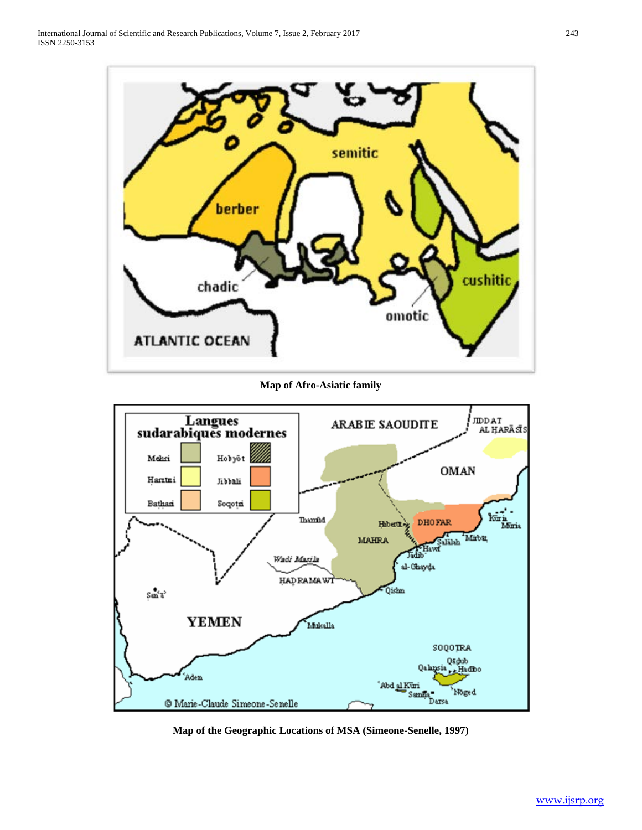

**Map of Afro-Asiatic family**



**Map of the Geographic Locations of MSA (Simeone-Senelle, 1997)**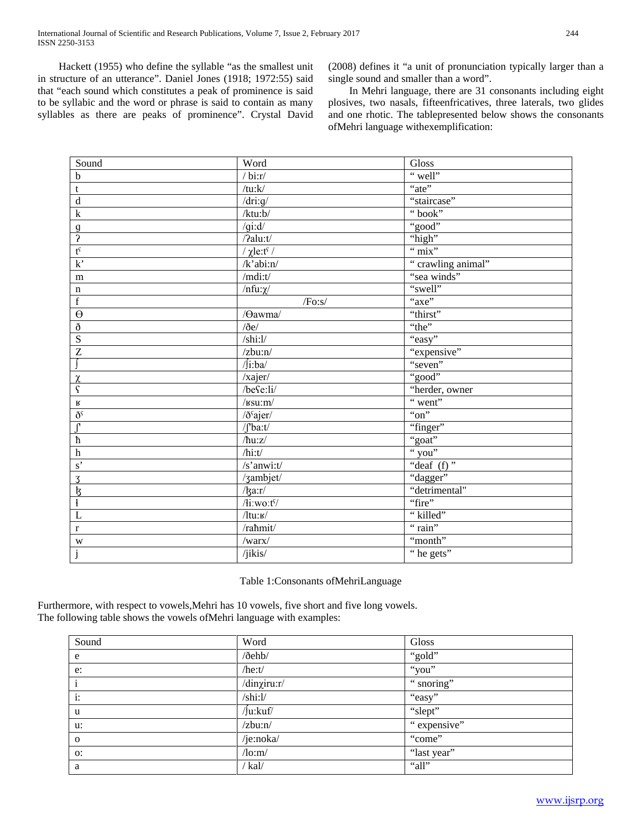Hackett (1955) who define the syllable "as the smallest unit in structure of an utterance". Daniel Jones (1918; 1972:55) said that "each sound which constitutes a peak of prominence is said to be syllabic and the word or phrase is said to contain as many syllables as there are peaks of prominence". Crystal David (2008) defines it "a unit of pronunciation typically larger than a single sound and smaller than a word".

 In Mehri language, there are 31 consonants including eight plosives, two nasals, fifteenfricatives, three laterals, two glides and one rhotic. The tablepresented below shows the consonants ofMehri language withexemplification:

| Sound                      | Word                         | Gloss                            |
|----------------------------|------------------------------|----------------------------------|
| $\overline{b}$             | $\overline{b}$ bi:r/         | "well"                           |
| $\mathbf t$                | /tu:k/                       | "ate"                            |
| $\rm d$                    | $\overline{7}$ dri:g/        | "staircase"                      |
| $\overline{\mathbf{k}}$    | /ktu:b/                      | "book"                           |
|                            | $q$ i:d/                     | "good"                           |
| $\frac{9}{2}$              | /?alu:t/                     | "high"                           |
| $\mathfrak{t}^{\varsigma}$ | / $\chi$ le:t <sup>s</sup> / | " $\overline{\text{mix}}$ "      |
| k'                         | $/k$ 'abi:n/                 | "crawling animal"                |
| ${\bf m}$                  | /mdi:t/                      | "sea winds"                      |
| $\mathbf n$                | /nfu: $\chi$ /               | "swell"                          |
| $\overline{f}$             | /Fo:s/                       | "axe"                            |
| $\overline{\theta}$        | /Oawma/                      | "thirst"                         |
| $\eth$                     | $/$ ðe $/$                   | "the"                            |
| $\overline{S}$             | /shi:1/                      | "easy"                           |
| $\overline{\textbf{Z}}$    | $z$ bu:n $/$                 | "expensive"                      |
|                            | $\sqrt{\text{j}}$ :ba/       | "seven"                          |
|                            | /xajer/                      | "good"                           |
| $\frac{\chi}{\varsigma}$   | /befe:li/                    | "herder, owner                   |
| $\, {\bf R}$               | $/\textsc{ksu}$ :m/          | $\overline{\mathcal{L}}$ went"   |
| $\eth^{\varsigma}$         | /ð <sup>s</sup> ajer/        | " $on$ "                         |
| $\bar{J}$                  | $\int b$ a:t/                | "finger"                         |
| $\frac{J}{h}$              | $/\hbar u: z/$               | "goat"                           |
| $\overline{h}$             | /hi:t/                       | " you"                           |
| $s$ <sup>'</sup>           | /s'anwi:t/                   | "deaf $(f)$ "                    |
|                            | /zambjet/                    | "dagger"                         |
| $rac{3}{5}$                | $\frac{1}{3}a:\mathbf{r}$    | "detrimental"                    |
|                            | /li:wo:t <sup>s</sup> /      | "fire"                           |
| $\overline{L}$             | $/$ ltu: $\mathbf{r}/$       | "killed"                         |
| $\overline{r}$             | /rahmit/                     | "rain"                           |
| W                          | /warx/                       | "month"                          |
| j                          | /jikis/                      | $\overline{\mathbf{r}}$ he gets" |

## Table 1:Consonants ofMehriLanguage

Furthermore, with respect to vowels,Mehri has 10 vowels, five short and five long vowels. The following table shows the vowels ofMehri language with examples:

| Sound          | Word                                     | Gloss        |
|----------------|------------------------------------------|--------------|
| e              | /ðehb/                                   | "gold"       |
| e:             | /he:t/                                   | "you"        |
| $\mathbf{i}$   | /dinxiru:r/                              | "snoring"    |
| $\mathbf{i}$ : | /shi:l/                                  | "easy"       |
| u              | /Ju:kuf/                                 | "slept"      |
| u:             | $z$ bu:n $/$                             | " expensive" |
| $\mathbf{o}$   | /je:noka/                                | "come"       |
| 0:             | $\sqrt{\text{lo}}$ :m $\sqrt{\text{lo}}$ | "last year"  |
| a              | /kal/                                    | "all"        |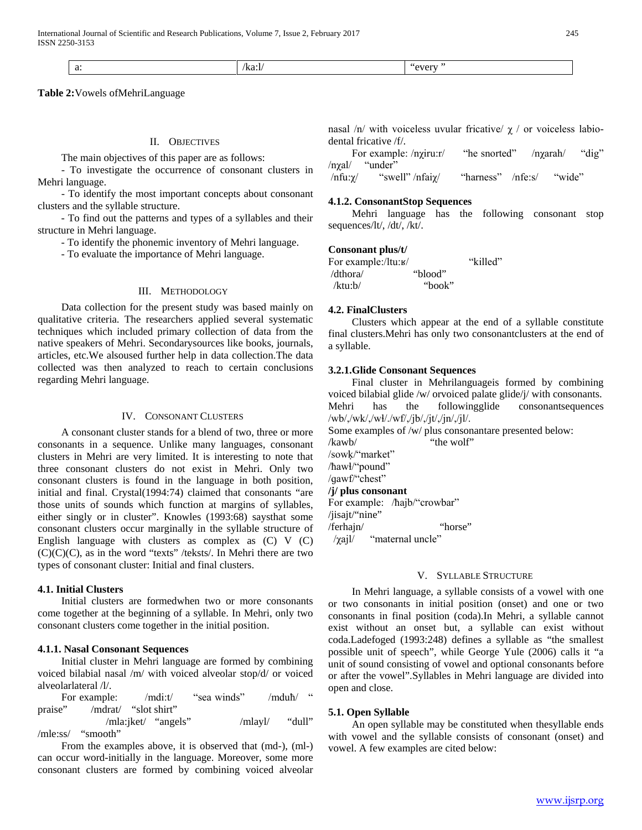| $\sim$<br>и.<br>. | .<br>1.a.i<br>. | . |
|-------------------|-----------------|---|
|-------------------|-----------------|---|

**Table 2:**Vowels ofMehriLanguage

#### II. OBJECTIVES

The main objectives of this paper are as follows:

 - To investigate the occurrence of consonant clusters in Mehri language.

 - To identify the most important concepts about consonant clusters and the syllable structure.

 - To find out the patterns and types of a syllables and their structure in Mehri language.

- To identify the phonemic inventory of Mehri language.

- To evaluate the importance of Mehri language.

## III. METHODOLOGY

 Data collection for the present study was based mainly on qualitative criteria. The researchers applied several systematic techniques which included primary collection of data from the native speakers of Mehri. Secondarysources like books, journals, articles, etc.We alsoused further help in data collection.The data collected was then analyzed to reach to certain conclusions regarding Mehri language.

#### IV. CONSONANT CLUSTERS

 A consonant cluster stands for a blend of two, three or more consonants in a sequence. Unlike many languages, consonant clusters in Mehri are very limited. It is interesting to note that three consonant clusters do not exist in Mehri. Only two consonant clusters is found in the language in both position, initial and final. Crystal(1994:74) claimed that consonants "are those units of sounds which function at margins of syllables, either singly or in cluster". Knowles (1993:68) saysthat some consonant clusters occur marginally in the syllable structure of English language with clusters as complex as (C) V (C)  $(C)(C)(C)$ , as in the word "texts" /teksts/. In Mehri there are two types of consonant cluster: Initial and final clusters.

#### **4.1. Initial Clusters**

 Initial clusters are formedwhen two or more consonants come together at the beginning of a syllable. In Mehri, only two consonant clusters come together in the initial position.

## **4.1.1. Nasal Consonant Sequences**

 Initial cluster in Mehri language are formed by combining voiced bilabial nasal /m/ with voiced alveolar stop/d/ or voiced alveolarlateral /l/.

For example: /mdi:t/ "sea winds" /mduħ/ " praise" /mdrat/ "slot shirt"

 /mla:jket/ "angels" /mlayl/ "dull" /mle:ss/ "smooth"

 From the examples above, it is observed that (md-), (ml-) can occur word-initially in the language. Moreover, some more consonant clusters are formed by combining voiced alveolar

| nasal /n/ with voiceless uvular fricative/ $\chi$ / or voiceless labio- |  |  |  |  |
|-------------------------------------------------------------------------|--|--|--|--|
| dental fricative $/f$ .                                                 |  |  |  |  |

 For example: /nχiru:r/ "he snorted" /nχarah/ "dig" /nχal/ "under"

/nfu:χ/ "swell" /nfaiχ/ "harness" /nfe:s/ "wide"

#### **4.1.2. ConsonantStop Sequences**

 Mehri language has the following consonant stop sequences/lt/, /dt/, /kt/.

## **Consonant plus/t/**

| For example:/ltu:в/ |         | "killed" |
|---------------------|---------|----------|
| /dthora/            | "blood" |          |
| /ktu: $b/$          | "book"  |          |

#### **4.2. FinalClusters**

 Clusters which appear at the end of a syllable constitute final clusters.Mehri has only two consonantclusters at the end of a syllable.

#### **3.2.1.Glide Consonant Sequences**

 Final cluster in Mehrilanguageis formed by combining voiced bilabial glide /w/ orvoiced palate glide/j/ with consonants.<br>Mehri has the following glide consonants equences has the followingglide consonantsequences /wb/,/wk/,/wɬ/./wf/,/jb/,/jt/,/jn/,/jl/.

Some examples of /w/ plus consonantare presented below: /kawb/ "the wolf"

/sowḳ/"market" /ħawɬ/"pound" /qawf/"chest"

#### **/j/ plus consonant**

For example: /ħajb/"crowbar" /jisajt/"nine" /ferhajn/ "horse" /χajl/ "maternal uncle"

## V. SYLLABLE STRUCTURE

 In Mehri language, a syllable consists of a vowel with one or two consonants in initial position (onset) and one or two consonants in final position (coda).In Mehri, a syllable cannot exist without an onset but, a syllable can exist without coda.Ladefoged (1993:248) defines a syllable as "the smallest possible unit of speech", while George Yule (2006) calls it "a unit of sound consisting of vowel and optional consonants before or after the vowel".Syllables in Mehri language are divided into open and close.

#### **5.1. Open Syllable**

 An open syllable may be constituted when thesyllable ends with vowel and the syllable consists of consonant (onset) and vowel. A few examples are cited below: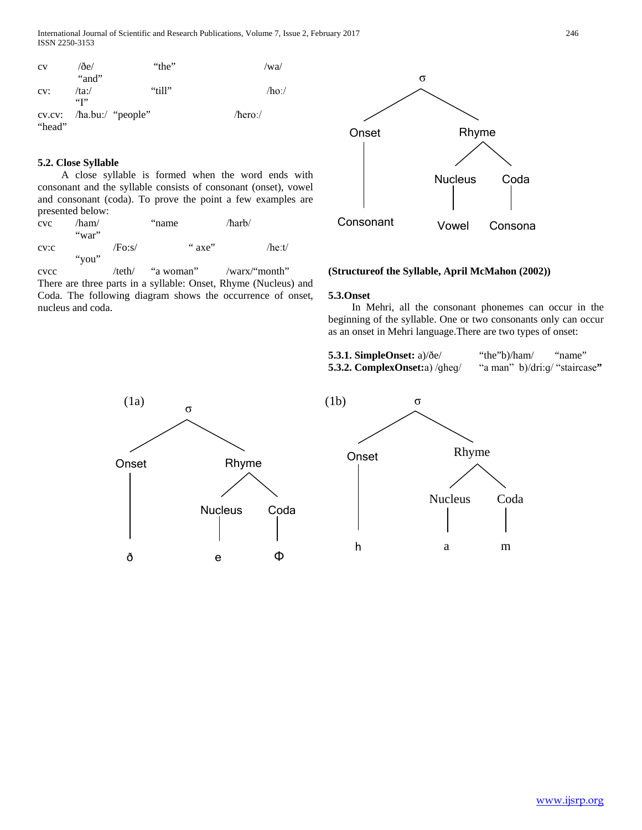International Journal of Scientific and Research Publications, Volume 7, Issue 2, February 2017 246 ISSN 2250-3153

| CV     | $\sqrt{2}$ e $\sqrt{2}$    | "the"                          | /wa/     |
|--------|----------------------------|--------------------------------|----------|
| CV:    | "and"<br>/ta:/             | "till"                         | $/ho$ :/ |
| "head" | $\mathfrak{c}(\mathbf{r})$ | cv.cv: $/$ ha.bu: $/$ "people" | /hero:/  |

## **5.2. Close Syllable**

 A close syllable is formed when the word ends with consonant and the syllable consists of consonant (onset), vowel and consonant (coda). To prove the point a few examples are presented below:

| CVC  | /ham/<br>"war" |        | "name" |        | /harb/ |              |
|------|----------------|--------|--------|--------|--------|--------------|
| CV:C | "you"          | /Fo:s/ |        | " axe" |        | $/$ he:t $/$ |

cvcc /teth/ "a woman" /warx/"month" There are three parts in a syllable: Onset, Rhyme (Nucleus) and Coda. The following diagram shows the occurrence of onset, nucleus and coda.



## **(Structureof the Syllable, April McMahon (2002))**

#### **5.3.Onset**

 In Mehri, all the consonant phonemes can occur in the beginning of the syllable. One or two consonants only can occur as an onset in Mehri language.There are two types of onset:

| 5.3.1. SimpleOnset: $a)/\delta e/$ | "the"b)/ham/                  | "name" |
|------------------------------------|-------------------------------|--------|
| 5.3.2. ComplexOnset:a) /gheg/      | "a man" b)/dri:q/ "staircase" |        |



σ Rhyme h Nucleus m Coda a **Onset**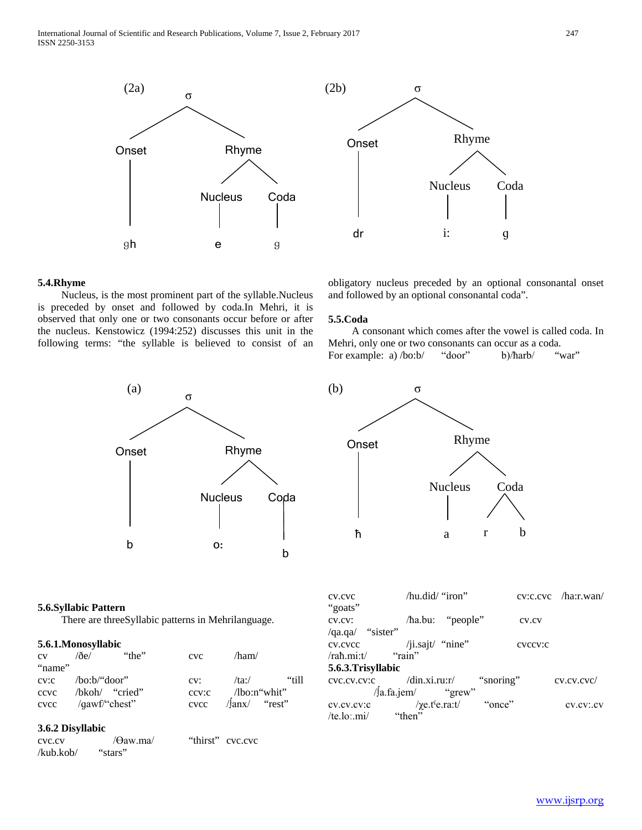



## **5.4.Rhyme**

 Nucleus, is the most prominent part of the syllable.Nucleus is preceded by onset and followed by coda.In Mehri, it is observed that only one or two consonants occur before or after the nucleus. Kenstowicz (1994:252) discusses this unit in the following terms: "the syllable is believed to consist of an



#### **5.6.Syllabic Pattern**

There are threeSyllabic patterns in Mehrilanguage.

#### **5.6.1.Monosyllabic**

| CV     | $\sqrt{\partial}$ e $\sqrt{\partial}$ | "the" | CVC  | $/\text{ham}/$            |       |
|--------|---------------------------------------|-------|------|---------------------------|-------|
| "name" |                                       |       |      |                           |       |
|        | $\text{cv:}c$ /bo:b/"door"            |       | CV:  | /ta:/ $\sqrt{2}$          | "till |
| ccvc   | /bkoh/ "cried"                        |       |      | $ccv:c$ /lbo:n"whit"      |       |
| cvcc   | /qawf/"chest"                         |       | cvcc | $\frac{1}{\tan x}$ "rest" |       |

#### **3.6.2 Disyllabic**

cvc.cv /Өaw.ma/ "thirst" cvc.cvc /kub.kob/ "stars"

obligatory nucleus preceded by an optional consonantal onset and followed by an optional consonantal coda".

## **5.5.Coda**

 A consonant which comes after the vowel is called coda. In Mehri, only one or two consonants can occur as a coda. For example: a) /bo:b/ "door" b)/harb/ "war"



cv.cvc /hu.did/ "iron" cv:c.cvc /ha:r.wan/ "goats"

cv.cv: /ħa.bu: "people" cv.cv /qa.qa/ "sister"

cv.cvcc /ji.sajt/ "nine" cvccv:c /raħ.mi:t/ "rain"

## **5.6.3.Trisyllabic**

cvc.cv.cv:c /din.xi.ru:r/ "snoring" cv.cv.cvc/ /∫a.fa.jem/ "grew" cv.cv.cv:c /χe.tˤe.ra:t/ "once" cv.cv:.cv  $/te$ .lo:.mi $/$  "then"